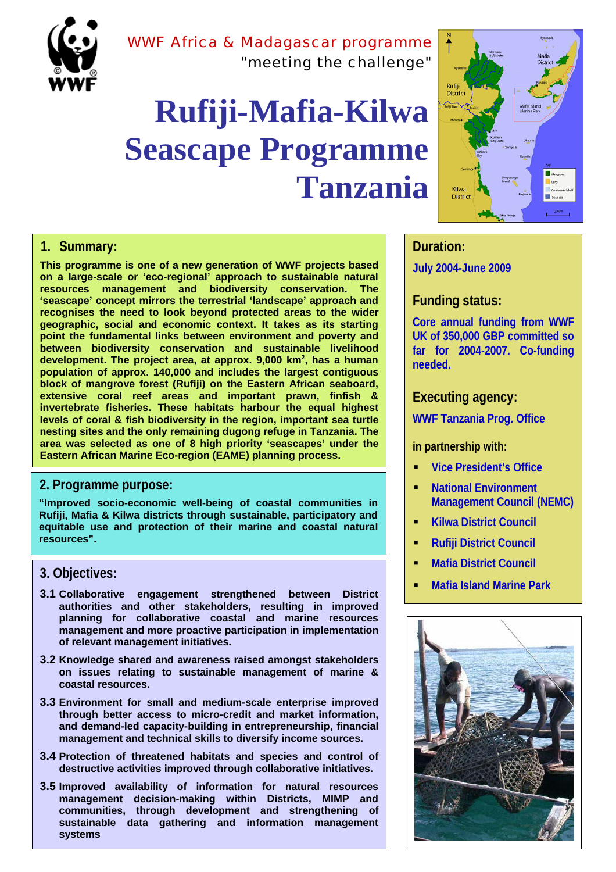

## WWF Africa & Madagascar programme "meeting the challenge"

# **Rufiji-Mafia-Kilwa Seascape Programme Tanzania**



#### **1. Summary:**

**This programme is one of a new generation of WWF projects based on a large-scale or 'eco-regional' approach to sustainable natural resources management and biodiversity conservation. The 'seascape' concept mirrors the terrestrial 'landscape' approach and recognises the need to look beyond protected areas to the wider geographic, social and economic context. It takes as its starting point the fundamental links between environment and poverty and between biodiversity conservation and sustainable livelihood** development. The project area, at approx. 9,000 km<sup>2</sup>, has a human **population of approx. 140,000 and includes the largest contiguous block of mangrove forest (Rufiji) on the Eastern African seaboard, extensive coral reef areas and important prawn, finfish & invertebrate fisheries. These habitats harbour the equal highest levels of coral & fish biodiversity in the region, important sea turtle nesting sites and the only remaining dugong refuge in Tanzania. The area was selected as one of 8 high priority 'seascapes' under the Eastern African Marine Eco-region (EAME) planning process.** 

#### **2. Programme purpose:**

**"Improved socio-economic well-being of coastal communities in Rufiji, Mafia & Kilwa districts through sustainable, participatory and equitable use and protection of their marine and coastal natural resources".**

- **3.1 Collaborative engagement strengthened between District authorities and other stakeholders, resulting in improved planning for collaborative coastal and marine resources management and more proactive participation in implementation of relevant management initiatives.**
- **3.2 Knowledge shared and awareness raised amongst stakeholders on issues relating to sustainable management of marine & coastal resources.**
- **3.3 Environment for small and medium-scale enterprise improved through better access to micro-credit and market information, and demand-led capacity-building in entrepreneurship, financial management and technical skills to diversify income sources.**
- **3.4 Protection of threatened habitats and species and control of destructive activities improved through collaborative initiatives.**
- **3.5 Improved availability of information for natural resources management decision-making within Districts, MIMP and communities, through development and strengthening of sustainable data gathering and information management systems**

### **Duration:**

**July 2004-June 2009**

#### **Funding status:**

**Core annual funding from WWF UK of 350,000 GBP committed so far for 2004-2007. Co-funding needed.**

#### **Executing agency:**

**WWF Tanzania Prog. Office**

#### **in partnership with:**

- **Vice President's Office**
- **National Environment Management Council (NEMC)**
- **Kilwa District Council**
- **Rufiji District Council**
- **Mafia District Council**
- **Mafia Island Marine Park 3. Objectives:**